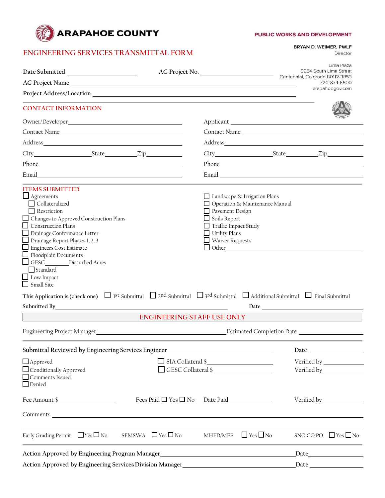

## PUBLIC WORKS AND DEVELOPMENT

## **ENGINEERING SERVICES TRANSMITTAL FORM**

|  | BRYAN D. WEIMER, PWLF |          |
|--|-----------------------|----------|
|  |                       | Director |

|                                                                                                                                                                                                                                                                                                                                                                                                                                                                                                                                  |  | $AC$ Project No. $\qquad \qquad \qquad \qquad$ |                                                                                                                  |                                                                                    | Lima Plaza<br>6924 South Lima Street<br>Centennial, Colorado 80112-3853 |                             |                                                                                                                                                                                                                                |  |  |
|----------------------------------------------------------------------------------------------------------------------------------------------------------------------------------------------------------------------------------------------------------------------------------------------------------------------------------------------------------------------------------------------------------------------------------------------------------------------------------------------------------------------------------|--|------------------------------------------------|------------------------------------------------------------------------------------------------------------------|------------------------------------------------------------------------------------|-------------------------------------------------------------------------|-----------------------------|--------------------------------------------------------------------------------------------------------------------------------------------------------------------------------------------------------------------------------|--|--|
| AC Project Name                                                                                                                                                                                                                                                                                                                                                                                                                                                                                                                  |  |                                                |                                                                                                                  |                                                                                    |                                                                         |                             | 720-874-6500<br>arapahoegov.com                                                                                                                                                                                                |  |  |
|                                                                                                                                                                                                                                                                                                                                                                                                                                                                                                                                  |  |                                                |                                                                                                                  |                                                                                    |                                                                         |                             |                                                                                                                                                                                                                                |  |  |
| <b>CONTACT INFORMATION</b>                                                                                                                                                                                                                                                                                                                                                                                                                                                                                                       |  |                                                |                                                                                                                  |                                                                                    |                                                                         |                             |                                                                                                                                                                                                                                |  |  |
|                                                                                                                                                                                                                                                                                                                                                                                                                                                                                                                                  |  |                                                |                                                                                                                  |                                                                                    |                                                                         |                             |                                                                                                                                                                                                                                |  |  |
| Contact Name                                                                                                                                                                                                                                                                                                                                                                                                                                                                                                                     |  |                                                |                                                                                                                  | Contact Name                                                                       |                                                                         |                             |                                                                                                                                                                                                                                |  |  |
|                                                                                                                                                                                                                                                                                                                                                                                                                                                                                                                                  |  |                                                |                                                                                                                  |                                                                                    |                                                                         |                             |                                                                                                                                                                                                                                |  |  |
|                                                                                                                                                                                                                                                                                                                                                                                                                                                                                                                                  |  |                                                |                                                                                                                  | City State Zip                                                                     |                                                                         |                             |                                                                                                                                                                                                                                |  |  |
|                                                                                                                                                                                                                                                                                                                                                                                                                                                                                                                                  |  |                                                |                                                                                                                  |                                                                                    |                                                                         |                             |                                                                                                                                                                                                                                |  |  |
| Email Property of the contract of the contract of the contract of the contract of the contract of the contract of the contract of the contract of the contract of the contract of the contract of the contract of the contract                                                                                                                                                                                                                                                                                                   |  |                                                |                                                                                                                  |                                                                                    |                                                                         |                             |                                                                                                                                                                                                                                |  |  |
| <b>ITEMS SUBMITTED</b><br>Agreements<br>$\Box$ Collateralized<br>$\Box$ Restriction<br>Changes to Approved Construction Plans<br>Construction Plans<br>Drainage Conformance Letter<br>Drainage Report Phases 1, 2, 3<br><b>Engineers Cost Estimate</b><br>Floodplain Documents<br>GESC_________Disturbed Acres<br>$\Box$ Standard<br>$\Box$ Low Impact<br>$\Box$ Small Site<br>This Application is (check one) $\Box$ 1st Submittal $\Box$ 2nd Submittal $\Box$ 3rd Submittal $\Box$ Additional Submittal $\Box$ Final Submittal |  |                                                | Pavement Design<br>$\Box$ Soils Report<br>Traffic Impact Study<br>$\Box$ Utility Plans<br>$\Box$ Waiver Requests | □ Landscape & Irrigation Plans<br>□ Operation & Maintenance Manual<br>$\Box$ Other |                                                                         |                             | Date and the contract of the contract of the contract of the contract of the contract of the contract of the contract of the contract of the contract of the contract of the contract of the contract of the contract of the c |  |  |
| <b>ENGINEERING STAFF USE ONLY</b><br>Estimated Completion Date                                                                                                                                                                                                                                                                                                                                                                                                                                                                   |  |                                                |                                                                                                                  |                                                                                    |                                                                         |                             |                                                                                                                                                                                                                                |  |  |
|                                                                                                                                                                                                                                                                                                                                                                                                                                                                                                                                  |  |                                                |                                                                                                                  |                                                                                    |                                                                         |                             |                                                                                                                                                                                                                                |  |  |
| Submittal Reviewed by Engineering Services Engineer                                                                                                                                                                                                                                                                                                                                                                                                                                                                              |  |                                                |                                                                                                                  |                                                                                    |                                                                         |                             |                                                                                                                                                                                                                                |  |  |
| $\Box$ Approved                                                                                                                                                                                                                                                                                                                                                                                                                                                                                                                  |  | $\Box$ SIA Collateral \$ $\Box$                |                                                                                                                  |                                                                                    |                                                                         |                             |                                                                                                                                                                                                                                |  |  |
| Conditionally Approved<br>Comments Issued<br>$\Box$ Denied                                                                                                                                                                                                                                                                                                                                                                                                                                                                       |  |                                                | GESC Collateral \$                                                                                               |                                                                                    |                                                                         |                             |                                                                                                                                                                                                                                |  |  |
| Fee Amount \$                                                                                                                                                                                                                                                                                                                                                                                                                                                                                                                    |  | Fees Paid $\Box$ Yes $\Box$ No Date Paid       |                                                                                                                  |                                                                                    |                                                                         |                             |                                                                                                                                                                                                                                |  |  |
|                                                                                                                                                                                                                                                                                                                                                                                                                                                                                                                                  |  |                                                |                                                                                                                  |                                                                                    |                                                                         |                             |                                                                                                                                                                                                                                |  |  |
| Early Grading Permit $\Box$ Yes $\Box$ No                                                                                                                                                                                                                                                                                                                                                                                                                                                                                        |  | SEMSWA $\Box$ Yes $\Box$ No                    | MHFD/MEP                                                                                                         | $\Box$ Yes $\Box$ No                                                               |                                                                         |                             | SNO CO PO $\Box$ Yes $\Box$ No                                                                                                                                                                                                 |  |  |
| Action Approved by Engineering Program Manager__________________________________                                                                                                                                                                                                                                                                                                                                                                                                                                                 |  |                                                |                                                                                                                  |                                                                                    |                                                                         |                             |                                                                                                                                                                                                                                |  |  |
| Action Approved by Engineering Services Division Manager                                                                                                                                                                                                                                                                                                                                                                                                                                                                         |  |                                                |                                                                                                                  |                                                                                    |                                                                         | <b>Date</b> and <b>Date</b> |                                                                                                                                                                                                                                |  |  |